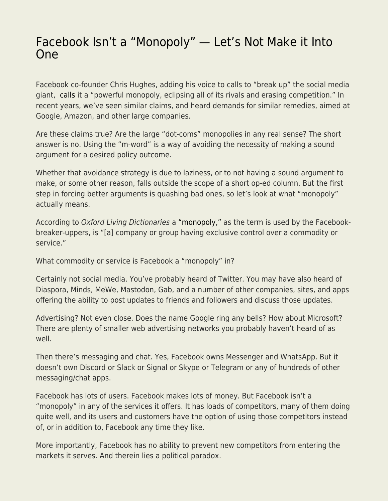## [Facebook Isn't a "Monopoly" — Let's Not Make it Into](https://everything-voluntary.com/facebook-isnt-a-monopoly-lets-not-make-it-into-one) [One](https://everything-voluntary.com/facebook-isnt-a-monopoly-lets-not-make-it-into-one)

Facebook co-founder Chris Hughes, adding his voice to calls to "break up" the social media giant, [calls](https://www.nytimes.com/2019/05/09/opinion/sunday/chris-hughes-facebook-zuckerberg.html) it a "powerful monopoly, eclipsing all of its rivals and erasing competition." In recent years, we've seen similar claims, and heard demands for similar remedies, aimed at Google, Amazon, and other large companies.

Are these claims true? Are the large "dot-coms" monopolies in any real sense? The short answer is no. Using the "m-word" is a way of avoiding the necessity of making a sound argument for a desired policy outcome.

Whether that avoidance strategy is due to laziness, or to not having a sound argument to make, or some other reason, falls outside the scope of a short op-ed column. But the first step in forcing better arguments is quashing bad ones, so let's look at what "monopoly" actually means.

According to Oxford Living Dictionaries a ["monopoly,"](https://en.oxforddictionaries.com/definition/monopoly) as the term is used by the Facebookbreaker-uppers, is "[a] company or group having exclusive control over a commodity or service."

What commodity or service is Facebook a "monopoly" in?

Certainly not social media. You've probably heard of Twitter. You may have also heard of Diaspora, Minds, MeWe, Mastodon, Gab, and a number of other companies, sites, and apps offering the ability to post updates to friends and followers and discuss those updates.

Advertising? Not even close. Does the name Google ring any bells? How about Microsoft? There are plenty of smaller web advertising networks you probably haven't heard of as well.

Then there's messaging and chat. Yes, Facebook owns Messenger and WhatsApp. But it doesn't own Discord or Slack or Signal or Skype or Telegram or any of hundreds of other messaging/chat apps.

Facebook has lots of users. Facebook makes lots of money. But Facebook isn't a "monopoly" in any of the services it offers. It has loads of competitors, many of them doing quite well, and its users and customers have the option of using those competitors instead of, or in addition to, Facebook any time they like.

More importantly, Facebook has no ability to prevent new competitors from entering the markets it serves. And therein lies a political paradox.